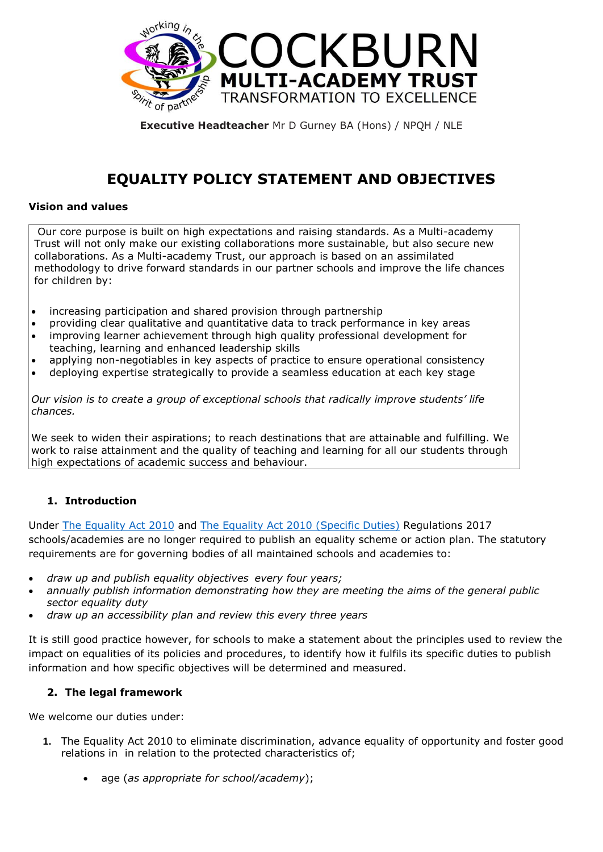

**Executive Headteacher** Mr D Gurney BA (Hons) / NPQH / NLE

# **EQUALITY POLICY STATEMENT AND OBJECTIVES**

## **Vision and values**

Our core purpose is built on high expectations and raising standards. As a Multi-academy Trust will not only make our existing collaborations more sustainable, but also secure new collaborations. As a Multi-academy Trust, our approach is based on an assimilated methodology to drive forward standards in our partner schools and improve the life chances for children by:

- increasing participation and shared provision through partnership
- providing clear qualitative and quantitative data to track performance in key areas
- improving learner achievement through high quality professional development for teaching, learning and enhanced leadership skills
- applying non-negotiables in key aspects of practice to ensure operational consistency
- deploying expertise strategically to provide a seamless education at each key stage

*Our vision is to create a group of exceptional schools that radically improve students' life chances.*

We seek to widen their aspirations; to reach destinations that are attainable and fulfilling. We work to raise attainment and the quality of teaching and learning for all our students through high expectations of academic success and behaviour.

# **1. Introduction**

Under [The Equality Act 2010](http://www.legislation.gov.uk/ukpga/2010/15/contents) and [The Equality Act 2010 \(Specific Duties\)](http://www.legislation.gov.uk/uksi/2011/2260/contents/made) Regulations 2017 schools/academies are no longer required to publish an equality scheme or action plan. The statutory requirements are for governing bodies of all maintained schools and academies to:

- *draw up and publish equality objectives every four years;*
- *annually publish information demonstrating how they are meeting the aims of the general public sector equality duty*
- *draw up an accessibility plan and review this every three years*

It is still good practice however, for schools to make a statement about the principles used to review the impact on equalities of its policies and procedures, to identify how it fulfils its specific duties to publish information and how specific objectives will be determined and measured.

# **2. The legal framework**

We welcome our duties under:

- **1.** The Equality Act 2010 to eliminate discrimination, advance equality of opportunity and foster good relations in in relation to the protected characteristics of;
	- age (*as appropriate for school/academy*);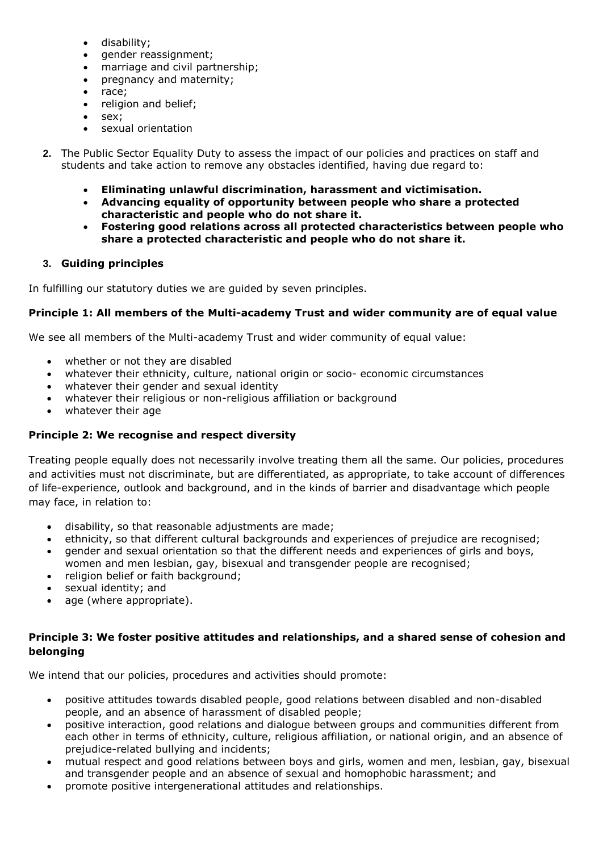- disability;
- gender reassignment;
- marriage and civil partnership;
- pregnancy and maternity;
- race;
- religion and belief;
- sex;
- sexual orientation
- **2.** The Public Sector Equality Duty to assess the impact of our policies and practices on staff and students and take action to remove any obstacles identified, having due regard to:
	- **Eliminating unlawful discrimination, harassment and victimisation.**
	- **Advancing equality of opportunity between people who share a protected characteristic and people who do not share it.**
	- **Fostering good relations across all protected characteristics between people who share a protected characteristic and people who do not share it.**

# **3. Guiding principles**

In fulfilling our statutory duties we are guided by seven principles.

# **Principle 1: All members of the Multi-academy Trust and wider community are of equal value**

We see all members of the Multi-academy Trust and wider community of equal value:

- whether or not they are disabled
- whatever their ethnicity, culture, national origin or socio- economic circumstances
- whatever their gender and sexual identity
- whatever their religious or non-religious affiliation or background
- whatever their age

# **Principle 2: We recognise and respect diversity**

Treating people equally does not necessarily involve treating them all the same. Our policies, procedures and activities must not discriminate, but are differentiated, as appropriate, to take account of differences of life-experience, outlook and background, and in the kinds of barrier and disadvantage which people may face, in relation to:

- disability, so that reasonable adjustments are made;
- ethnicity, so that different cultural backgrounds and experiences of prejudice are recognised;
- gender and sexual orientation so that the different needs and experiences of girls and boys, women and men lesbian, gay, bisexual and transgender people are recognised;
- religion belief or faith background;
- sexual identity; and
- age (where appropriate).

# **Principle 3: We foster positive attitudes and relationships, and a shared sense of cohesion and belonging**

We intend that our policies, procedures and activities should promote:

- positive attitudes towards disabled people, good relations between disabled and non-disabled people, and an absence of harassment of disabled people;
- positive interaction, good relations and dialogue between groups and communities different from each other in terms of ethnicity, culture, religious affiliation, or national origin, and an absence of prejudice-related bullying and incidents;
- mutual respect and good relations between boys and girls, women and men, lesbian, gay, bisexual and transgender people and an absence of sexual and homophobic harassment; and
- promote positive intergenerational attitudes and relationships.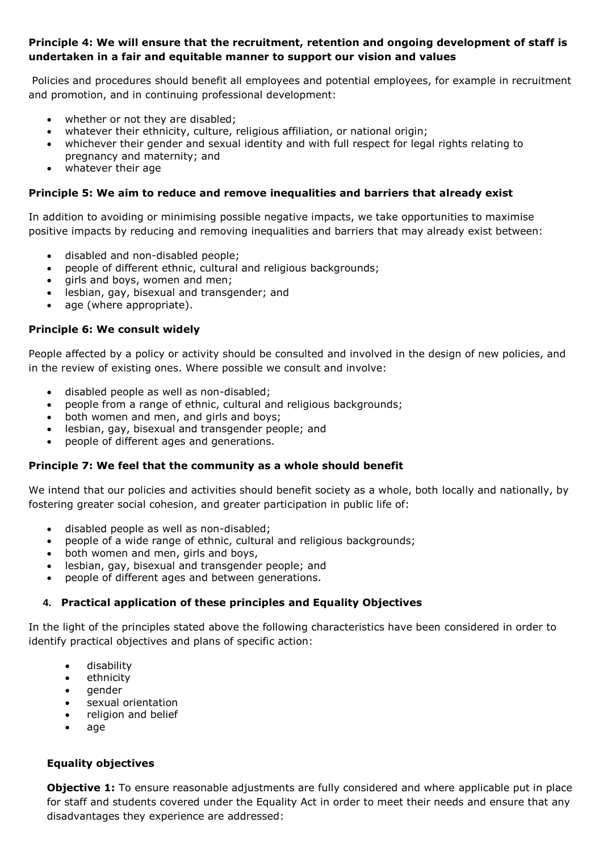# **Principle 4: We will ensure that the recruitment, retention and ongoing development of staff is undertaken in a fair and equitable manner to support our vision and values**

Policies and procedures should benefit all employees and potential employees, for example in recruitment and promotion, and in continuing professional development:

- whether or not they are disabled;
- whatever their ethnicity, culture, religious affiliation, or national origin;
- whichever their gender and sexual identity and with full respect for legal rights relating to pregnancy and maternity; and
- whatever their age

## **Principle 5: We aim to reduce and remove inequalities and barriers that already exist**

In addition to avoiding or minimising possible negative impacts, we take opportunities to maximise positive impacts by reducing and removing inequalities and barriers that may already exist between:

- disabled and non-disabled people;
- people of different ethnic, cultural and religious backgrounds;
- girls and boys, women and men;
- lesbian, gay, bisexual and transgender; and
- age (where appropriate).

## **Principle 6: We consult widely**

People affected by a policy or activity should be consulted and involved in the design of new policies, and in the review of existing ones. Where possible we consult and involve:

- disabled people as well as non-disabled;
- people from a range of ethnic, cultural and religious backgrounds;
- both women and men, and girls and boys;
- lesbian, gay, bisexual and transgender people; and
- people of different ages and generations.

# **Principle 7: We feel that the community as a whole should benefit**

We intend that our policies and activities should benefit society as a whole, both locally and nationally, by fostering greater social cohesion, and greater participation in public life of:

- disabled people as well as non-disabled;
- people of a wide range of ethnic, cultural and religious backgrounds;
- both women and men, girls and boys,
- lesbian, gay, bisexual and transgender people; and
- people of different ages and between generations.

# **4. Practical application of these principles and Equality Objectives**

In the light of the principles stated above the following characteristics have been considered in order to identify practical objectives and plans of specific action:

- disability
- ethnicity
- gender
- sexual orientation
- religion and belief
- age

# **Equality objectives**

**Objective 1:** To ensure reasonable adjustments are fully considered and where applicable put in place for staff and students covered under the Equality Act in order to meet their needs and ensure that any disadvantages they experience are addressed: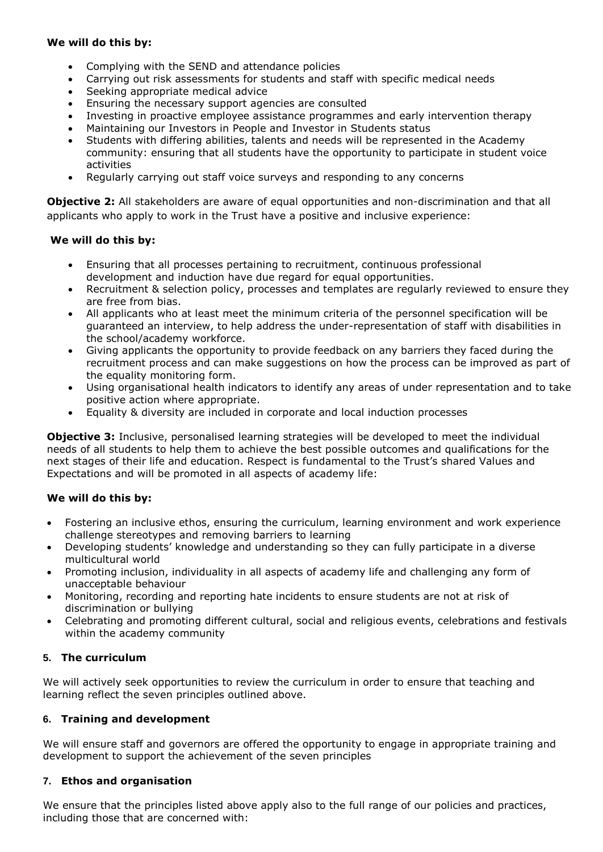# **We will do this by:**

- Complying with the SEND and attendance policies
- Carrying out risk assessments for students and staff with specific medical needs
- Seeking appropriate medical advice
- Ensuring the necessary support agencies are consulted
- Investing in proactive employee assistance programmes and early intervention therapy
- Maintaining our Investors in People and Investor in Students status
- Students with differing abilities, talents and needs will be represented in the Academy community: ensuring that all students have the opportunity to participate in student voice activities
- Regularly carrying out staff voice surveys and responding to any concerns

**Objective 2:** All stakeholders are aware of equal opportunities and non-discrimination and that all applicants who apply to work in the Trust have a positive and inclusive experience:

# **We will do this by:**

- Ensuring that all processes pertaining to recruitment, continuous professional development and induction have due regard for equal opportunities.
- Recruitment & selection policy, processes and templates are regularly reviewed to ensure they are free from bias.
- All applicants who at least meet the minimum criteria of the personnel specification will be guaranteed an interview, to help address the under-representation of staff with disabilities in the school/academy workforce.
- Giving applicants the opportunity to provide feedback on any barriers they faced during the recruitment process and can make suggestions on how the process can be improved as part of the equality monitoring form.
- Using organisational health indicators to identify any areas of under representation and to take positive action where appropriate.
- Equality & diversity are included in corporate and local induction processes

**Objective 3:** Inclusive, personalised learning strategies will be developed to meet the individual needs of all students to help them to achieve the best possible outcomes and qualifications for the next stages of their life and education. Respect is fundamental to the Trust's shared Values and Expectations and will be promoted in all aspects of academy life:

# **We will do this by:**

- Fostering an inclusive ethos, ensuring the curriculum, learning environment and work experience challenge stereotypes and removing barriers to learning
- Developing students' knowledge and understanding so they can fully participate in a diverse multicultural world
- Promoting inclusion, individuality in all aspects of academy life and challenging any form of unacceptable behaviour
- Monitoring, recording and reporting hate incidents to ensure students are not at risk of discrimination or bullying
- Celebrating and promoting different cultural, social and religious events, celebrations and festivals within the academy community

# **5. The curriculum**

We will actively seek opportunities to review the curriculum in order to ensure that teaching and learning reflect the seven principles outlined above.

# **6. Training and development**

We will ensure staff and governors are offered the opportunity to engage in appropriate training and development to support the achievement of the seven principles

# **7. Ethos and organisation**

We ensure that the principles listed above apply also to the full range of our policies and practices, including those that are concerned with: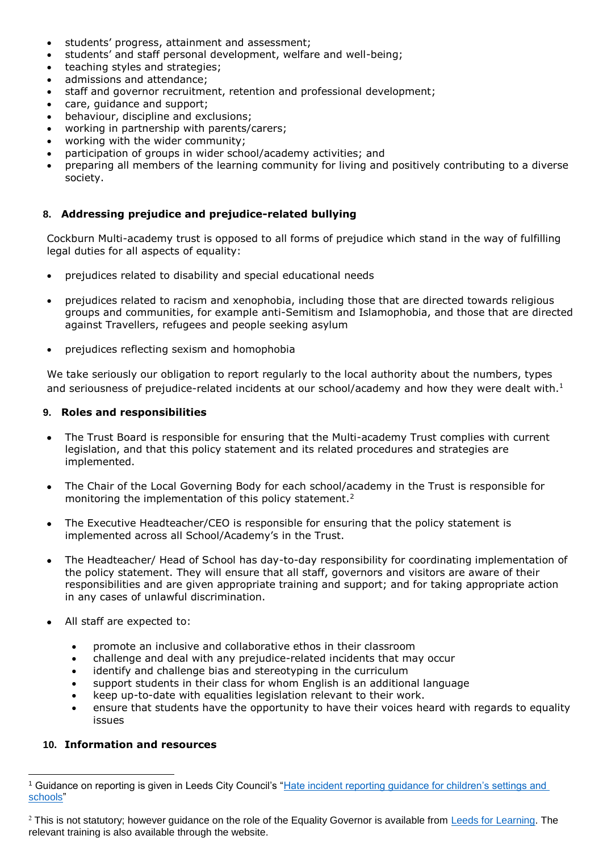- students' progress, attainment and assessment;
- students' and staff personal development, welfare and well-being;
- teaching styles and strategies;
- admissions and attendance;
- staff and governor recruitment, retention and professional development;
- care, guidance and support;
- behaviour, discipline and exclusions;
- working in partnership with parents/carers;
- working with the wider community;
- participation of groups in wider school/academy activities; and
- preparing all members of the learning community for living and positively contributing to a diverse society.

## **8. Addressing prejudice and prejudice-related bullying**

Cockburn Multi-academy trust is opposed to all forms of prejudice which stand in the way of fulfilling legal duties for all aspects of equality:

- prejudices related to disability and special educational needs
- prejudices related to racism and xenophobia, including those that are directed towards religious groups and communities, for example anti-Semitism and Islamophobia, and those that are directed against Travellers, refugees and people seeking asylum
- prejudices reflecting sexism and homophobia

We take seriously our obligation to report regularly to the local authority about the numbers, types and seriousness of prejudice-related incidents at our school/academy and how they were dealt with.<sup>1</sup>

#### **9. Roles and responsibilities**

- The Trust Board is responsible for ensuring that the Multi-academy Trust complies with current legislation, and that this policy statement and its related procedures and strategies are implemented.
- The Chair of the Local Governing Body for each school/academy in the Trust is responsible for monitoring the implementation of this policy statement.<sup>2</sup>
- The Executive Headteacher/CEO is responsible for ensuring that the policy statement is implemented across all School/Academy's in the Trust.
- The Headteacher/ Head of School has day-to-day responsibility for coordinating implementation of the policy statement. They will ensure that all staff, governors and visitors are aware of their responsibilities and are given appropriate training and support; and for taking appropriate action in any cases of unlawful discrimination.
- All staff are expected to:
	- promote an inclusive and collaborative ethos in their classroom
	- challenge and deal with any prejudice-related incidents that may occur
	- identify and challenge bias and stereotyping in the curriculum
	- support students in their class for whom English is an additional language
	- keep up-to-date with equalities legislation relevant to their work.
	- ensure that students have the opportunity to have their voices heard with regards to equality issues

#### **10. Information and resources**

 $\overline{a}$ 

<sup>1</sup> Guidance on reporting is given in Leeds City Council's ["Hate incident reporting guidance for children's settings and](http://www.leeds.gov.uk/docs/Childrens%20Settings%20Hate%20Incident%20Reporting%20Sheet%20Guidance%2011%2014.pdf)  [schools"](http://www.leeds.gov.uk/docs/Childrens%20Settings%20Hate%20Incident%20Reporting%20Sheet%20Guidance%2011%2014.pdf)

 $2$  This is not statutory; however guidance on the role of the Equality Governor is available from [Leeds for Learning.](https://secure2.sla-online.co.uk/Pages/mPageView.aspx?id=2861) The relevant training is also available through the website.